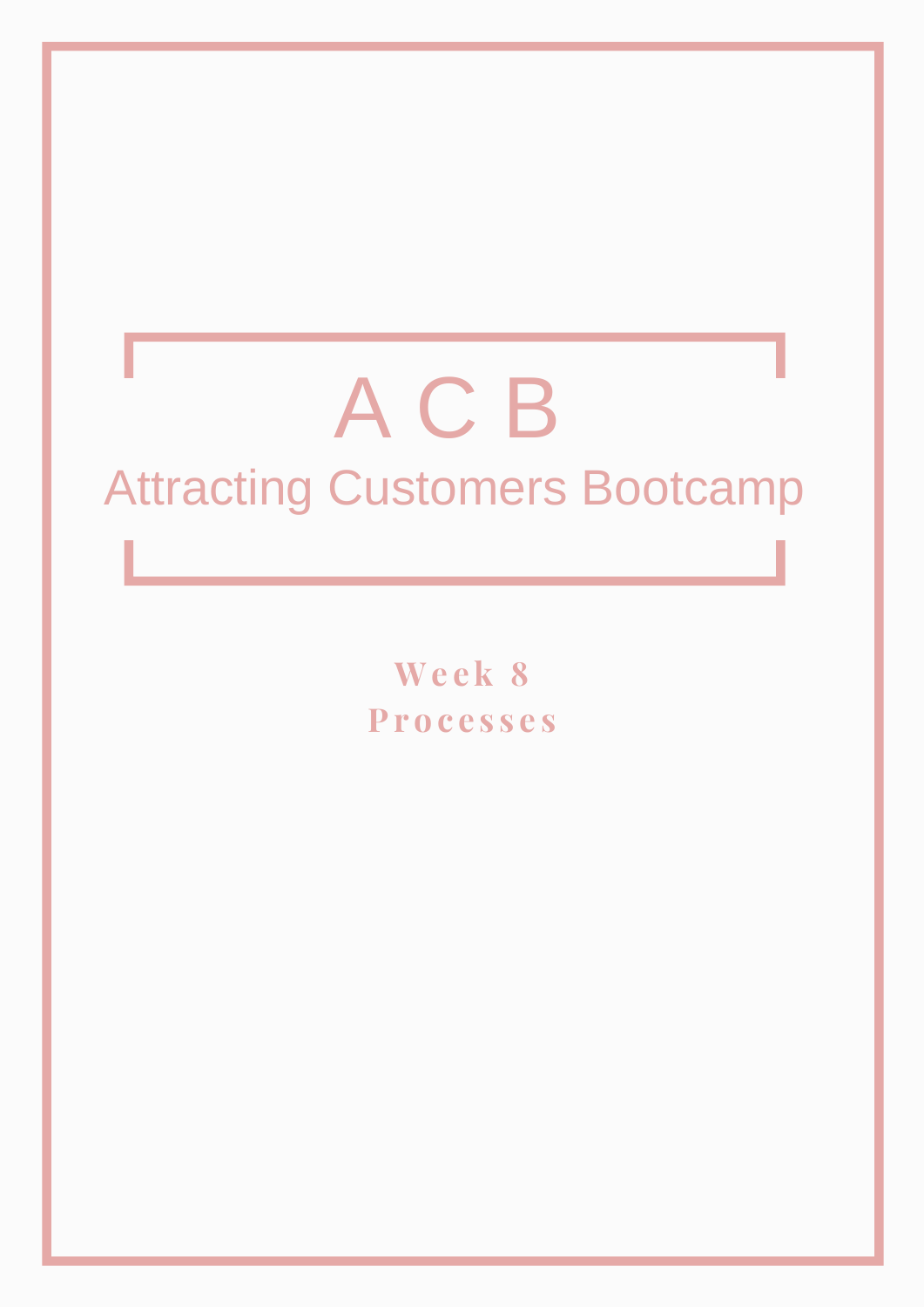# A C B Attracting Customers Bootcamp

**We e k 8 Pr o c e s s e s**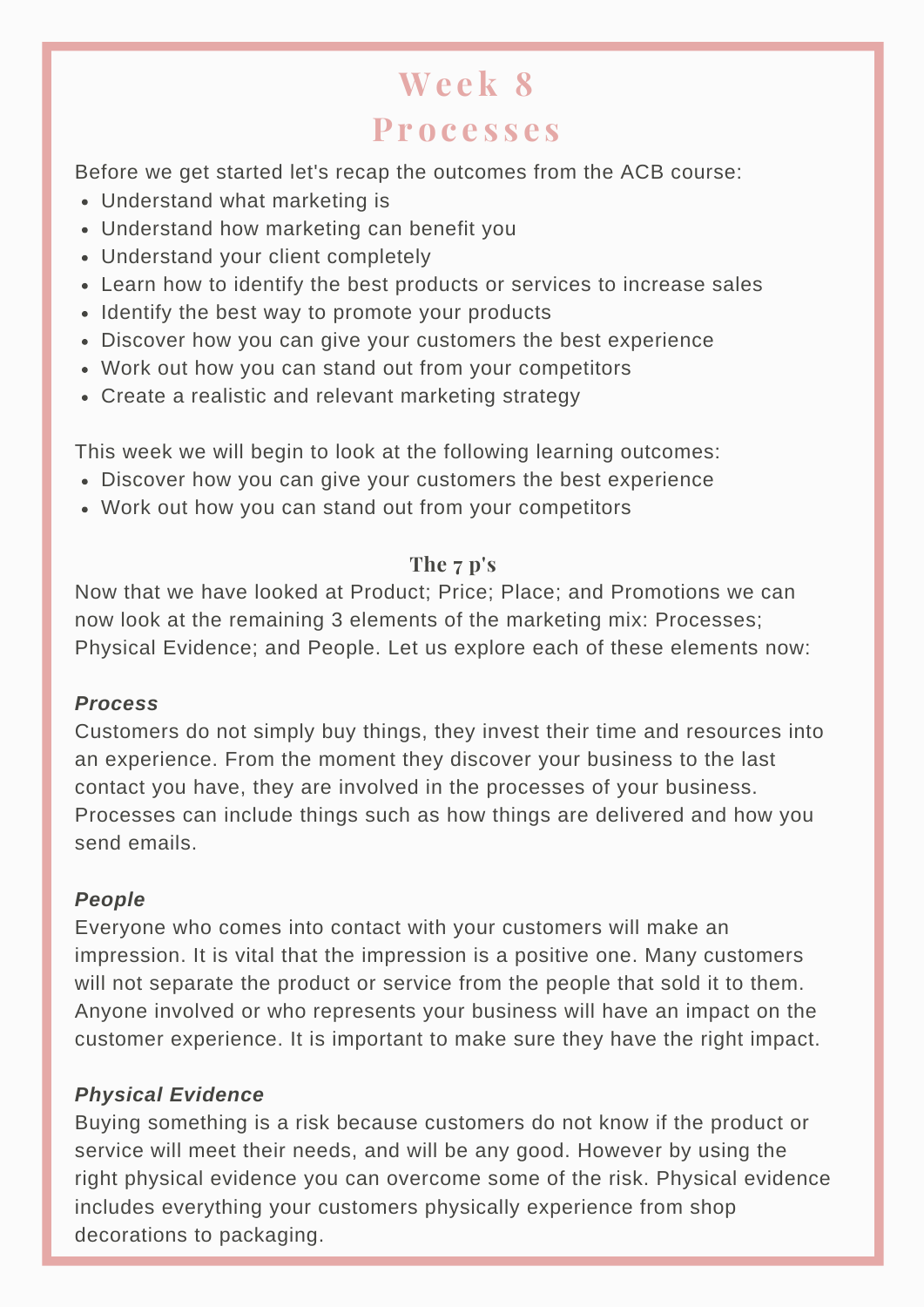## **We e k 8**

## **Pr o c e s s e s**

Before we get started let's recap the outcomes from the ACB course:

- Understand what marketing is
- Understand how marketing can benefit you
- Understand your client completely
- Learn how to identify the best products or services to increase sales
- Identify the best way to promote your products
- Discover how you can give your customers the best experience
- Work out how you can stand out from your competitors
- Create a realistic and relevant marketing strategy

This week we will begin to look at the following learning outcomes:

- Discover how you can give your customers the best experience
- Work out how you can stand out from your competitors

#### **The 7 p's**

Now that we have looked at Product; Price; Place; and Promotions we can now look at the remaining 3 elements of the marketing mix: Processes; Physical Evidence; and People. Let us explore each of these elements now:

#### *Process*

Customers do not simply buy things, they invest their time and resources into an experience. From the moment they discover your business to the last contact you have, they are involved in the processes of your business. Processes can include things such as how things are delivered and how you send emails.

#### *People*

Everyone who comes into contact with your customers will make an impression. It is vital that the impression is a positive one. Many customers will not separate the product or service from the people that sold it to them. Anyone involved or who represents your business will have an impact on the customer experience. It is important to make sure they have the right impact.

#### *Physical Evidence*

Buying something is a risk because customers do not know if the product or service will meet their needs, and will be any good. However by using the right physical evidence you can overcome some of the risk. Physical evidence includes everything your customers physically experience from shop decorations to packaging.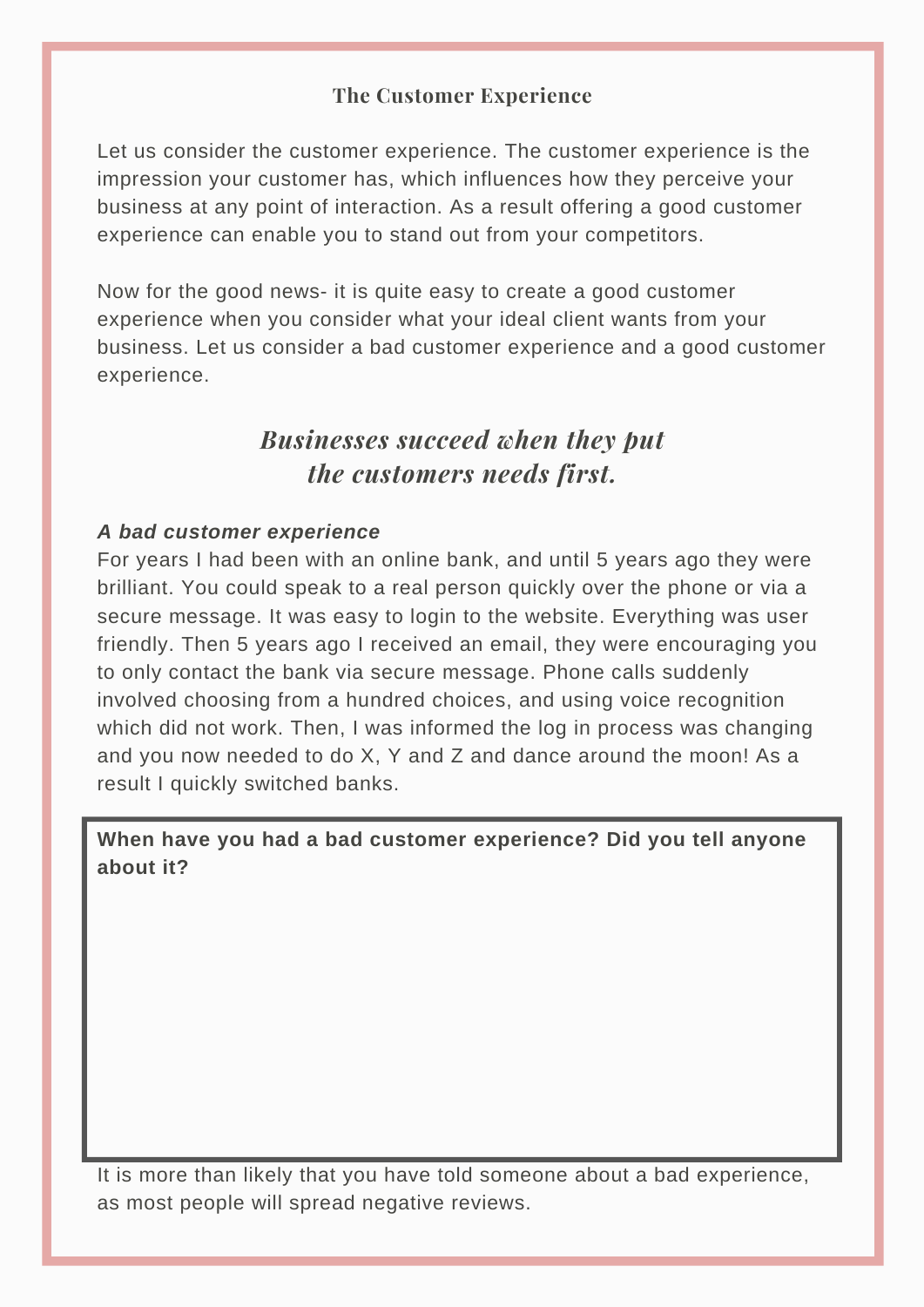#### **The Customer Experience**

Let us consider the customer experience. The customer experience is the impression your customer has, which influences how they perceive your business at any point of interaction. As a result offering a good customer experience can enable you to stand out from your competitors.

Now for the good news- it is quite easy to create a good customer experience when you consider what your ideal client wants from your business. Let us consider a bad customer experience and a good customer experience.

### *Businesses succeed when they put the customers needs first.*

#### *A bad customer experience*

For years I had been with an online bank, and until 5 years ago they were brilliant. You could speak to a real person quickly over the phone or via a secure message. It was easy to login to the website. Everything was user friendly. Then 5 years ago I received an email, they were encouraging you to only contact the bank via secure message. Phone calls suddenly involved choosing from a hundred choices, and using voice recognition which did not work. Then, I was informed the log in process was changing and you now needed to do X, Y and Z and dance around the moon! As a result I quickly switched banks.

**When have you had a bad customer experience? Did you tell anyone about it?**

It is more than likely that you have told someone about a bad experience, as most people will spread negative reviews.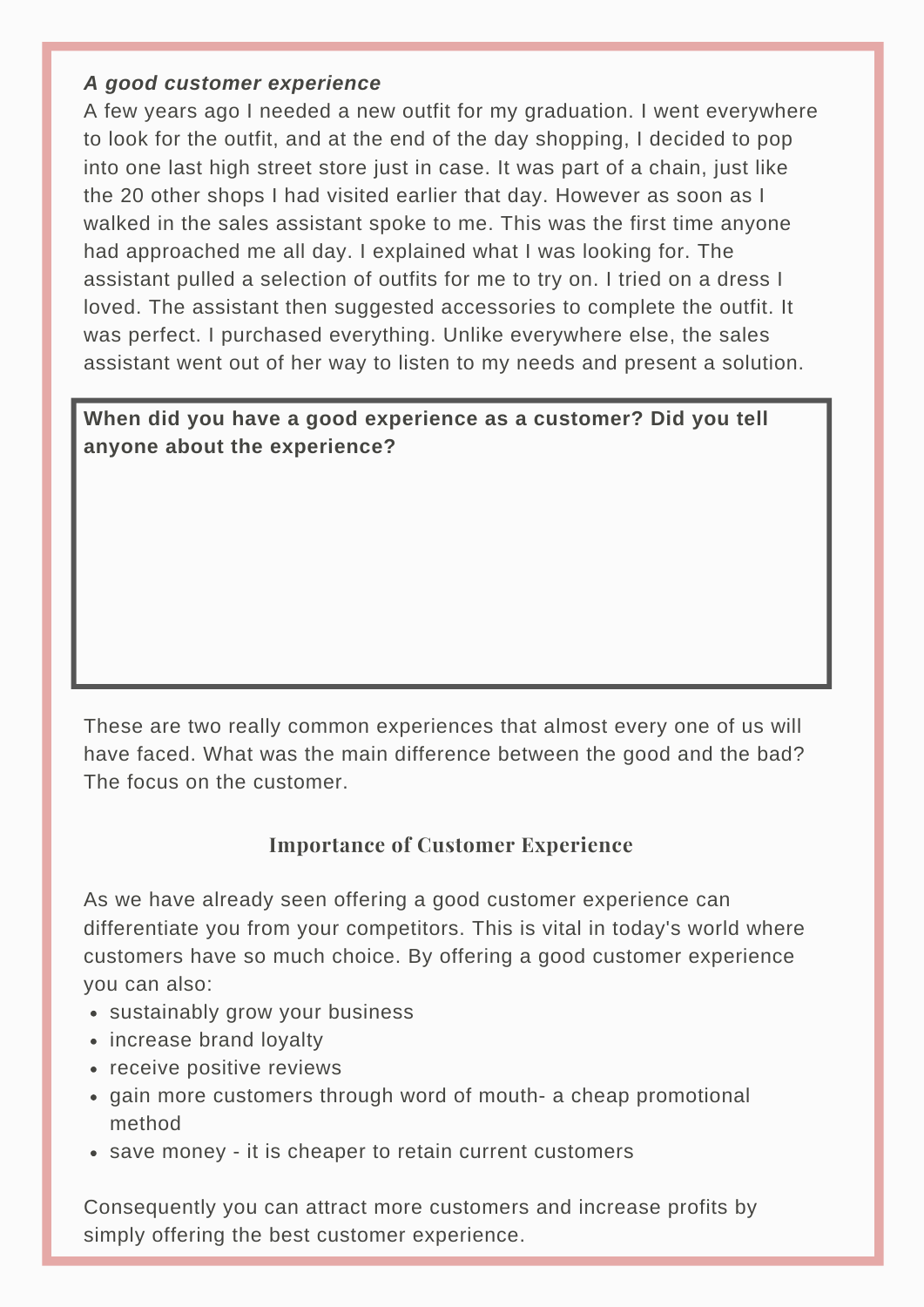#### *A good customer experience*

A few years ago I needed a new outfit for my graduation. I went everywhere to look for the outfit, and at the end of the day shopping, I decided to pop into one last high street store just in case. It was part of a chain, just like the 20 other shops I had visited earlier that day. However as soon as I walked in the sales assistant spoke to me. This was the first time anyone had approached me all day. I explained what I was looking for. The assistant pulled a selection of outfits for me to try on. I tried on a dress I loved. The assistant then suggested accessories to complete the outfit. It was perfect. I purchased everything. Unlike everywhere else, the sales assistant went out of her way to listen to my needs and present a solution.

#### **When did you have a good experience as a customer? Did you tell anyone about the experience?**

These are two really common experiences that almost every one of us will have faced. What was the main difference between the good and the bad? The focus on the customer.

#### **Importance of Customer Experience**

As we have already seen offering a good customer experience can differentiate you from your competitors. This is vital in today's world where customers have so much choice. By offering a good customer experience you can also:

- sustainably grow your business
- increase brand loyalty
- receive positive reviews
- gain more customers through word of mouth- a cheap promotional method
- save money it is cheaper to retain current customers

Consequently you can attract more customers and increase profits by simply offering the best customer experience.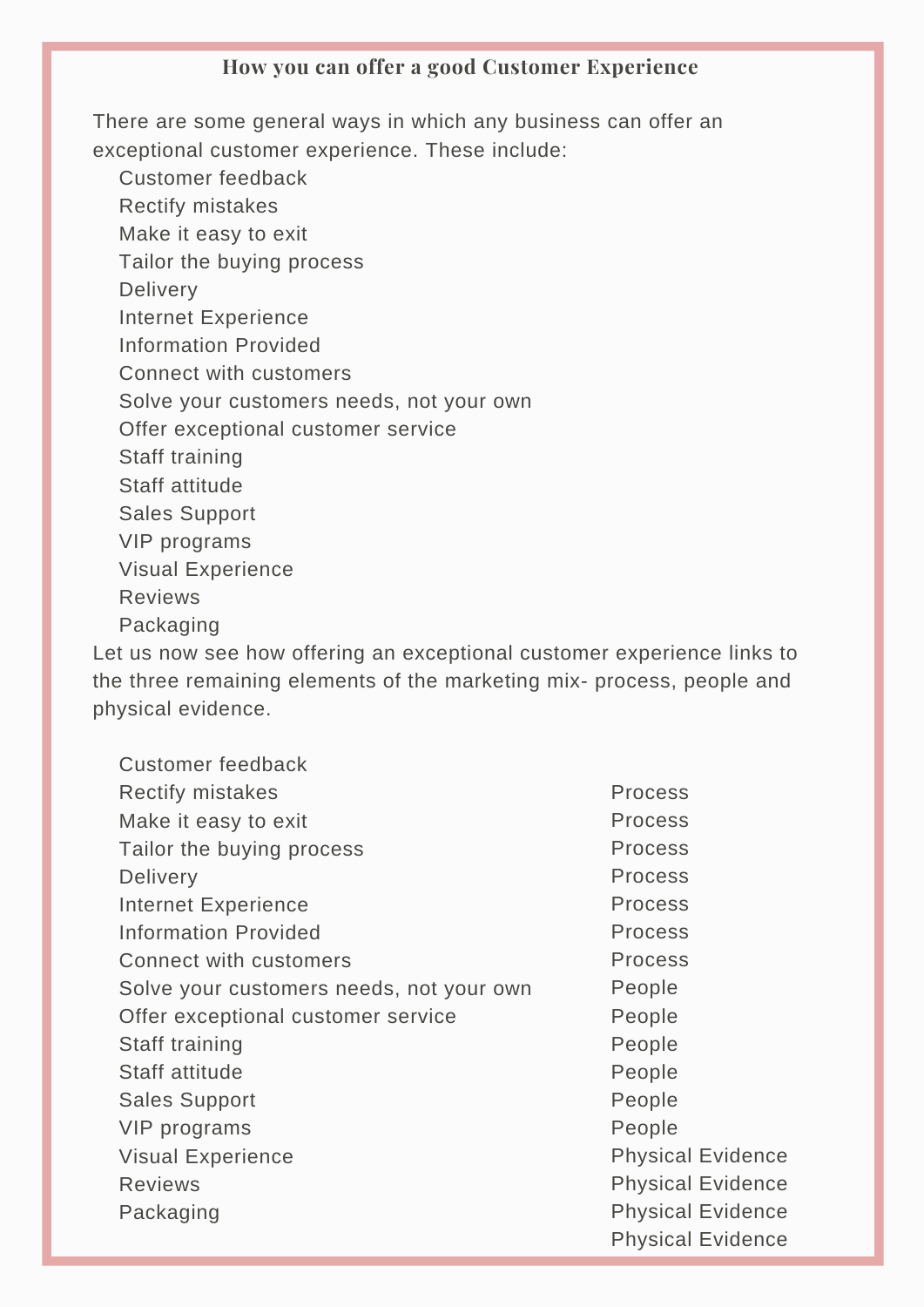#### **How you can offer a good Customer Experience**

There are some general ways in which any business can offer an exceptional customer experience. These include:

Customer feedback Rectify mistakes Make it easy to exit Tailor the buying process Delivery Internet Experience Information Provided Connect with customers Solve your customers needs, not your own Offer exceptional customer service Staff training Staff attitude Sales Support VIP programs Visual Experience Reviews Packaging

Let us now see how offering an exceptional customer experience links to the three remaining elements of the marketing mix- process, people and physical evidence.

| <b>Customer feedback</b>                 |                          |
|------------------------------------------|--------------------------|
| <b>Rectify mistakes</b>                  | <b>Process</b>           |
| Make it easy to exit                     | <b>Process</b>           |
| Tailor the buying process                | <b>Process</b>           |
| <b>Delivery</b>                          | <b>Process</b>           |
| Internet Experience                      | <b>Process</b>           |
| <b>Information Provided</b>              | <b>Process</b>           |
| <b>Connect with customers</b>            | <b>Process</b>           |
| Solve your customers needs, not your own | People                   |
| Offer exceptional customer service       | People                   |
| Staff training                           | People                   |
| Staff attitude                           | People                   |
| <b>Sales Support</b>                     | People                   |
| VIP programs                             | People                   |
| <b>Visual Experience</b>                 | <b>Physical Evidence</b> |
| <b>Reviews</b>                           | <b>Physical Evidence</b> |
| Packaging                                | <b>Physical Evidence</b> |
|                                          | <b>Physical Evidence</b> |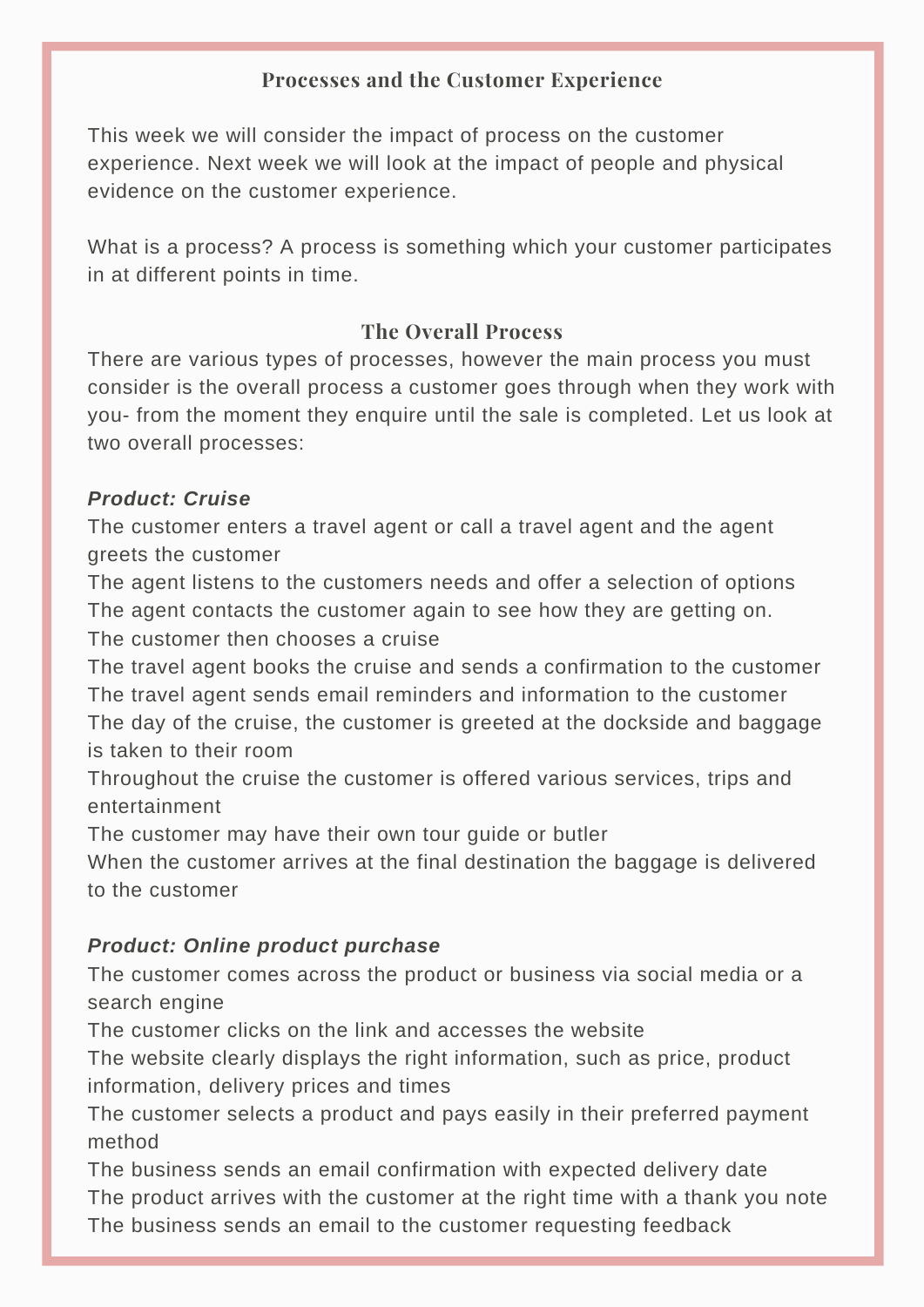#### **Processes and the Customer Experience**

This week we will consider the impact of process on the customer experience. Next week we will look at the impact of people and physical evidence on the customer experience.

What is a process? A process is something which your customer participates in at different points in time.

#### **The Overall Process**

There are various types of processes, however the main process you must consider is the overall process a customer goes through when they work with you- from the moment they enquire until the sale is completed. Let us look at two overall processes:

#### *Product: Cruise*

The customer enters a travel agent or call a travel agent and the agent greets the customer

The agent listens to the customers needs and offer a selection of options The agent contacts the customer again to see how they are getting on. The customer then chooses a cruise

The travel agent books the cruise and sends a confirmation to the customer The travel agent sends email reminders and information to the customer The day of the cruise, the customer is greeted at the dockside and baggage is taken to their room

Throughout the cruise the customer is offered various services, trips and entertainment

The customer may have their own tour guide or butler

When the customer arrives at the final destination the baggage is delivered to the customer

#### *Product: Online product purchase*

The customer comes across the product or business via social media or a search engine

The customer clicks on the link and accesses the website

The website clearly displays the right information, such as price, product information, delivery prices and times

The customer selects a product and pays easily in their preferred payment method

The business sends an email confirmation with expected delivery date The product arrives with the customer at the right time with a thank you note The business sends an email to the customer requesting feedback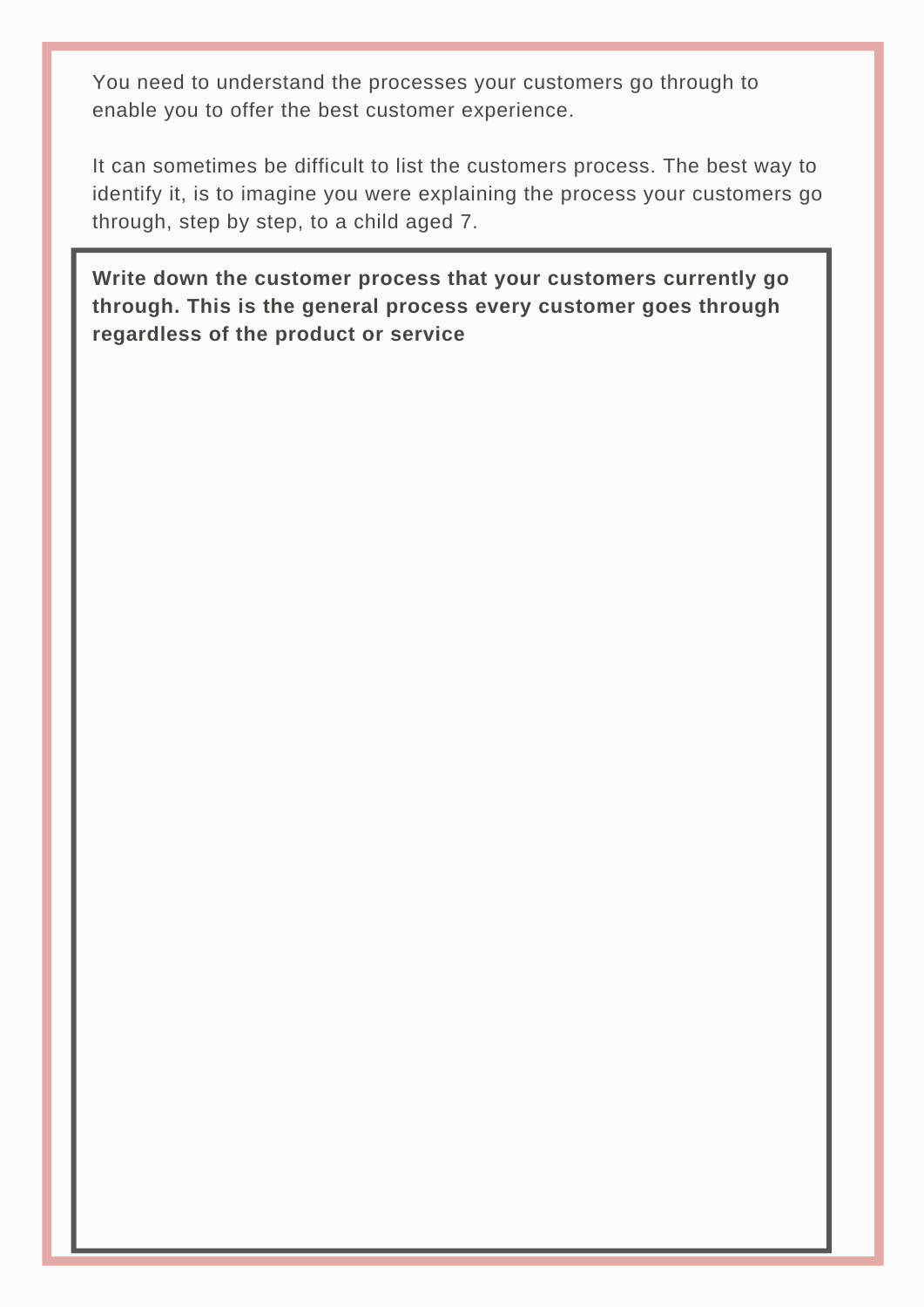You need to understand the processes your customers go through to enable you to offer the best customer experience.

It can sometimes be difficult to list the customers process. The best way to identify it, is to imagine you were explaining the process your customers go through, step by step, to a child aged 7.

**Write down the customer process that your customers currently go through. This is the general process every customer goes through regardless of the product or service**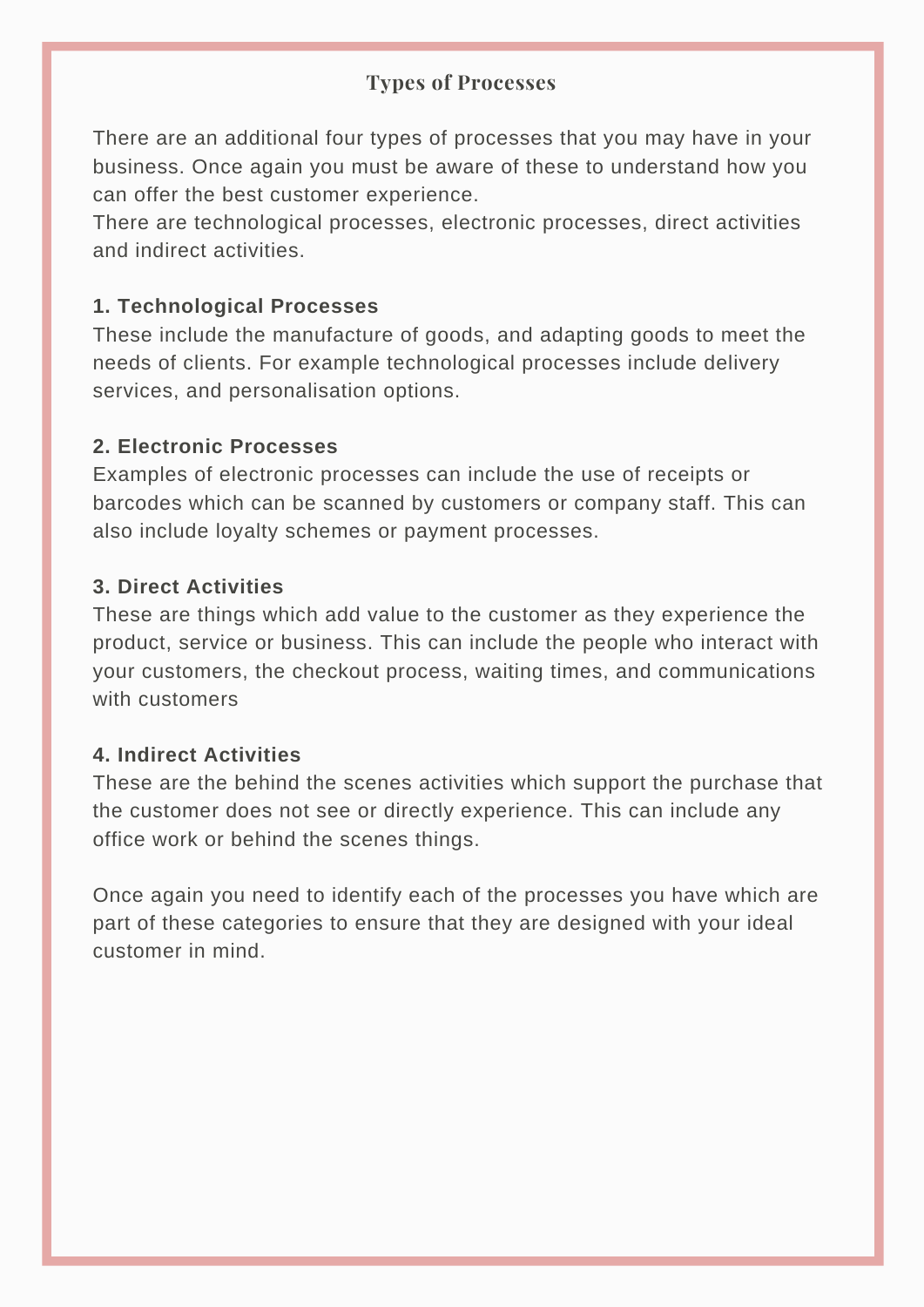#### **Types of Processes**

There are an additional four types of processes that you may have in your business. Once again you must be aware of these to understand how you can offer the best customer experience.

There are technological processes, electronic processes, direct activities and indirect activities.

#### **1. Technological Processes**

These include the manufacture of goods, and adapting goods to meet the needs of clients. For example technological processes include delivery services, and personalisation options.

#### **2. Electronic Processes**

Examples of electronic processes can include the use of receipts or barcodes which can be scanned by customers or company staff. This can also include loyalty schemes or payment processes.

#### **3. Direct Activities**

These are things which add value to the customer as they experience the product, service or business. This can include the people who interact with your customers, the checkout process, waiting times, and communications with customers

#### **4. Indirect Activities**

These are the behind the scenes activities which support the purchase that the customer does not see or directly experience. This can include any office work or behind the scenes things.

Once again you need to identify each of the processes you have which are part of these categories to ensure that they are designed with your ideal customer in mind.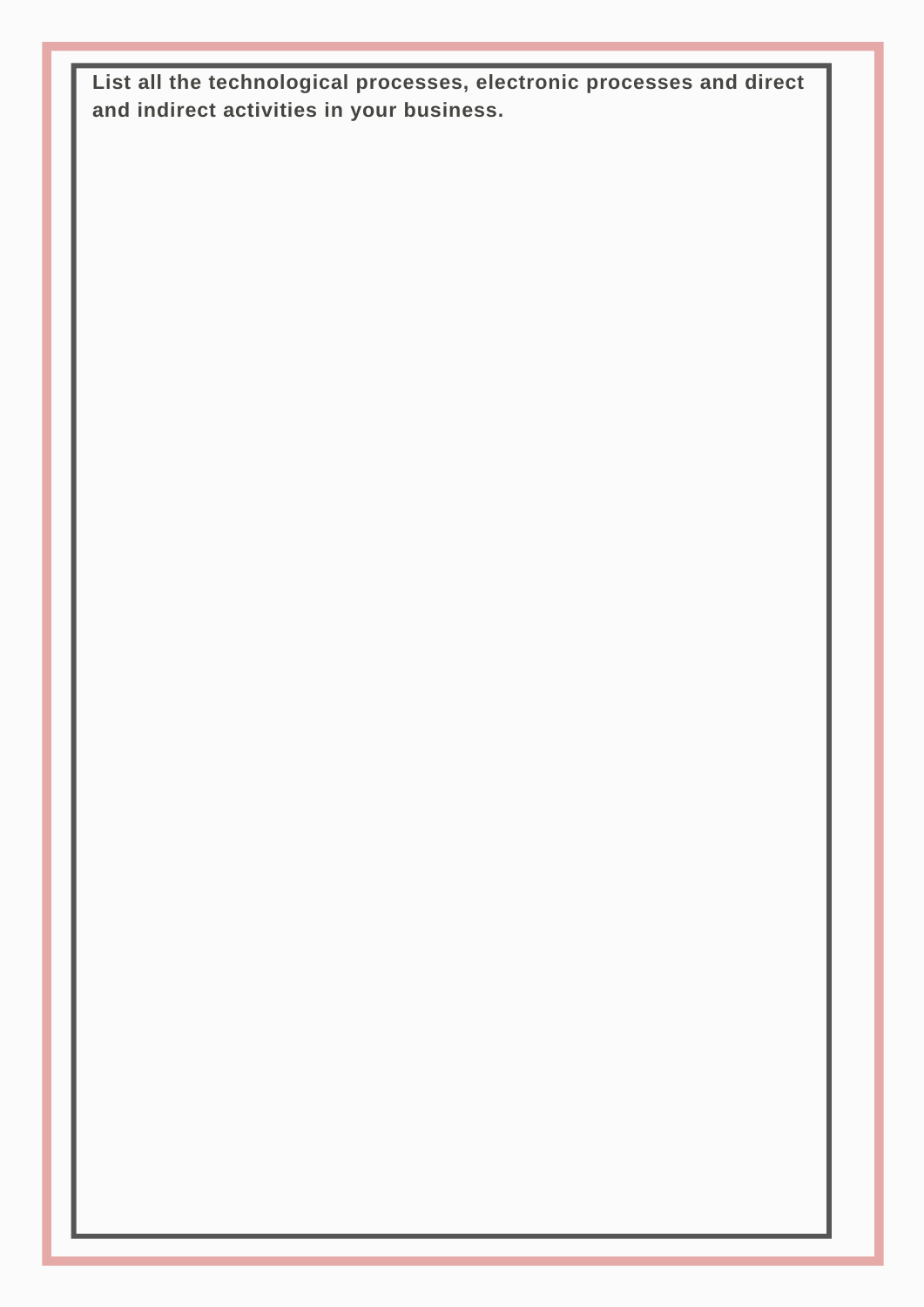**List all the technological processes, electronic processes and direct and indirect activities in your business.**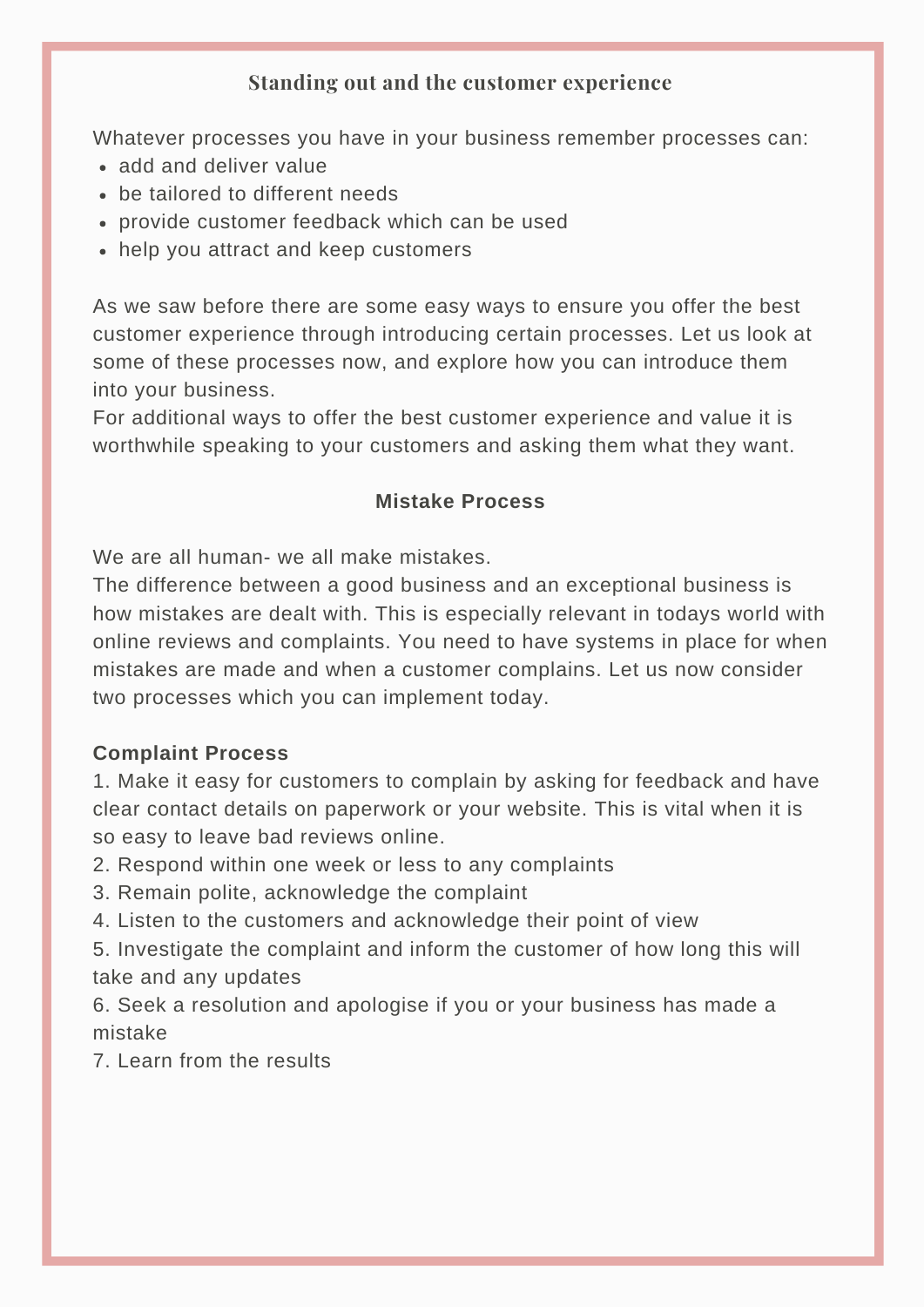#### **Standing out and the customer experience**

Whatever processes you have in your business remember processes can:

- add and deliver value
- be tailored to different needs
- provide customer feedback which can be used
- help you attract and keep customers

As we saw before there are some easy ways to ensure you offer the best customer experience through introducing certain processes. Let us look at some of these processes now, and explore how you can introduce them into your business.

For additional ways to offer the best customer experience and value it is worthwhile speaking to your customers and asking them what they want.

#### **Mistake Process**

We are all human- we all make mistakes.

The difference between a good business and an exceptional business is how mistakes are dealt with. This is especially relevant in todays world with online reviews and complaints. You need to have systems in place for when mistakes are made and when a customer complains. Let us now consider two processes which you can implement today.

#### **Complaint Process**

1. Make it easy for customers to complain by asking for feedback and have clear contact details on paperwork or your website. This is vital when it is so easy to leave bad reviews online.

2. Respond within one week or less to any complaints

3. Remain polite, acknowledge the complaint

4. Listen to the customers and acknowledge their point of view

5. Investigate the complaint and inform the customer of how long this will take and any updates

6. Seek a resolution and apologise if you or your business has made a mistake

7. Learn from the results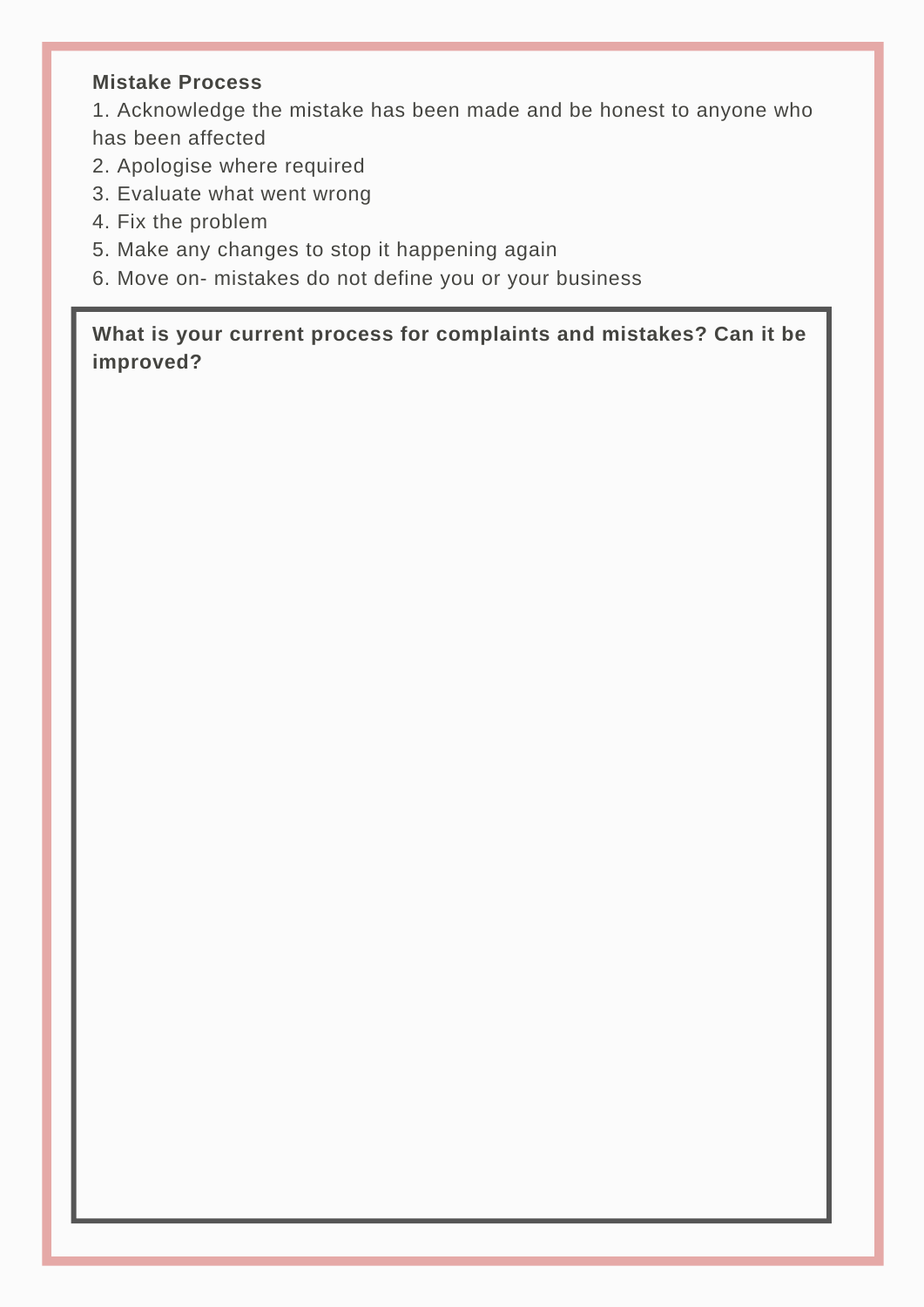#### **Mistake Process**

1. Acknowledge the mistake has been made and be honest to anyone who has been affected

- 2. Apologise where required
- 3. Evaluate what went wrong
- 4. Fix the problem
- 5. Make any changes to stop it happening again
- 6. Move on- mistakes do not define you or your business

**What is your current process for complaints and mistakes? Can it be improved?**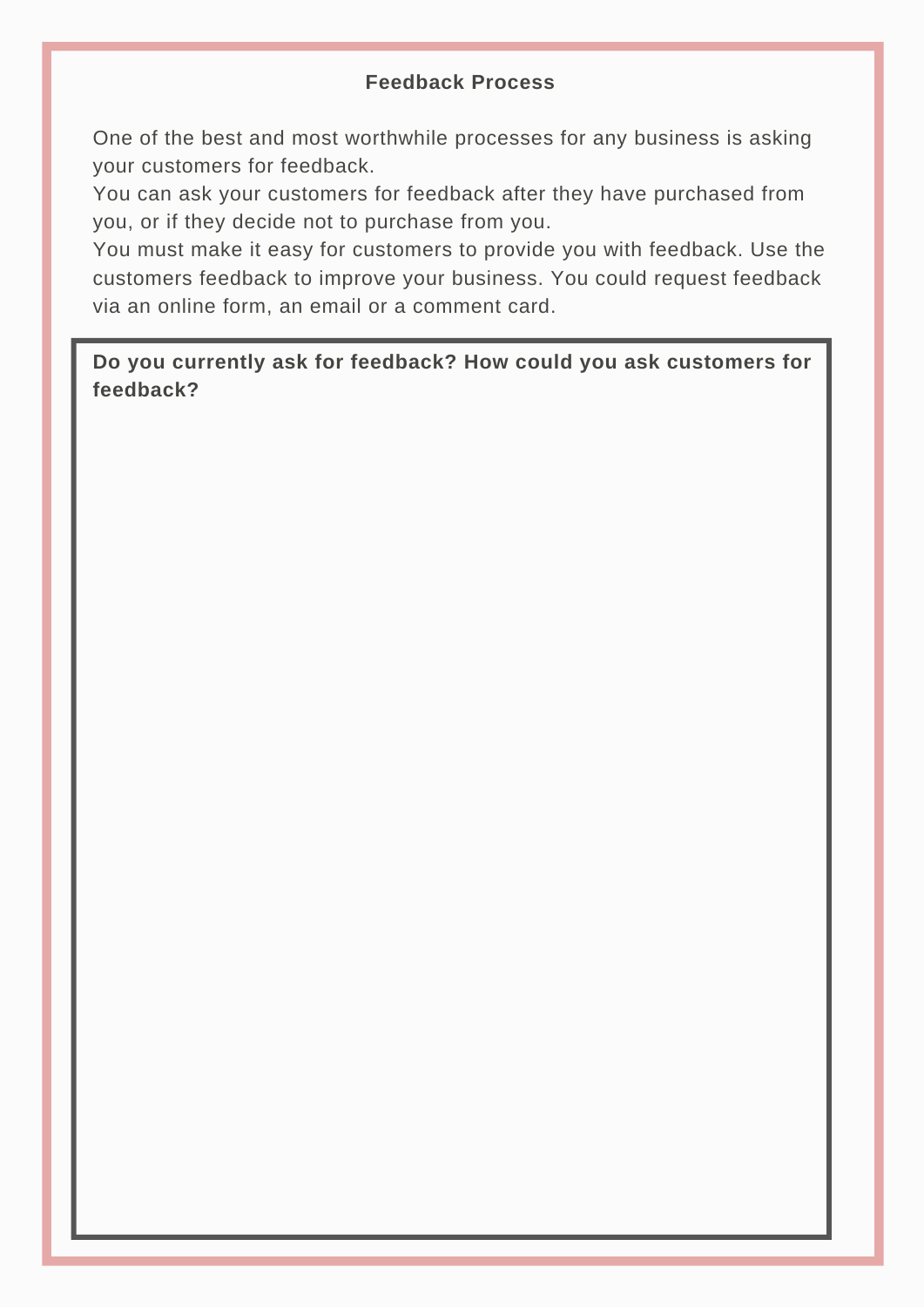#### **Feedback Process**

One of the best and most worthwhile processes for any business is asking your customers for feedback.

You can ask your customers for feedback after they have purchased from you, or if they decide not to purchase from you.

You must make it easy for customers to provide you with feedback. Use the customers feedback to improve your business. You could request feedback via an online form, an email or a comment card.

**Do you currently ask for feedback? How could you ask customers for feedback?**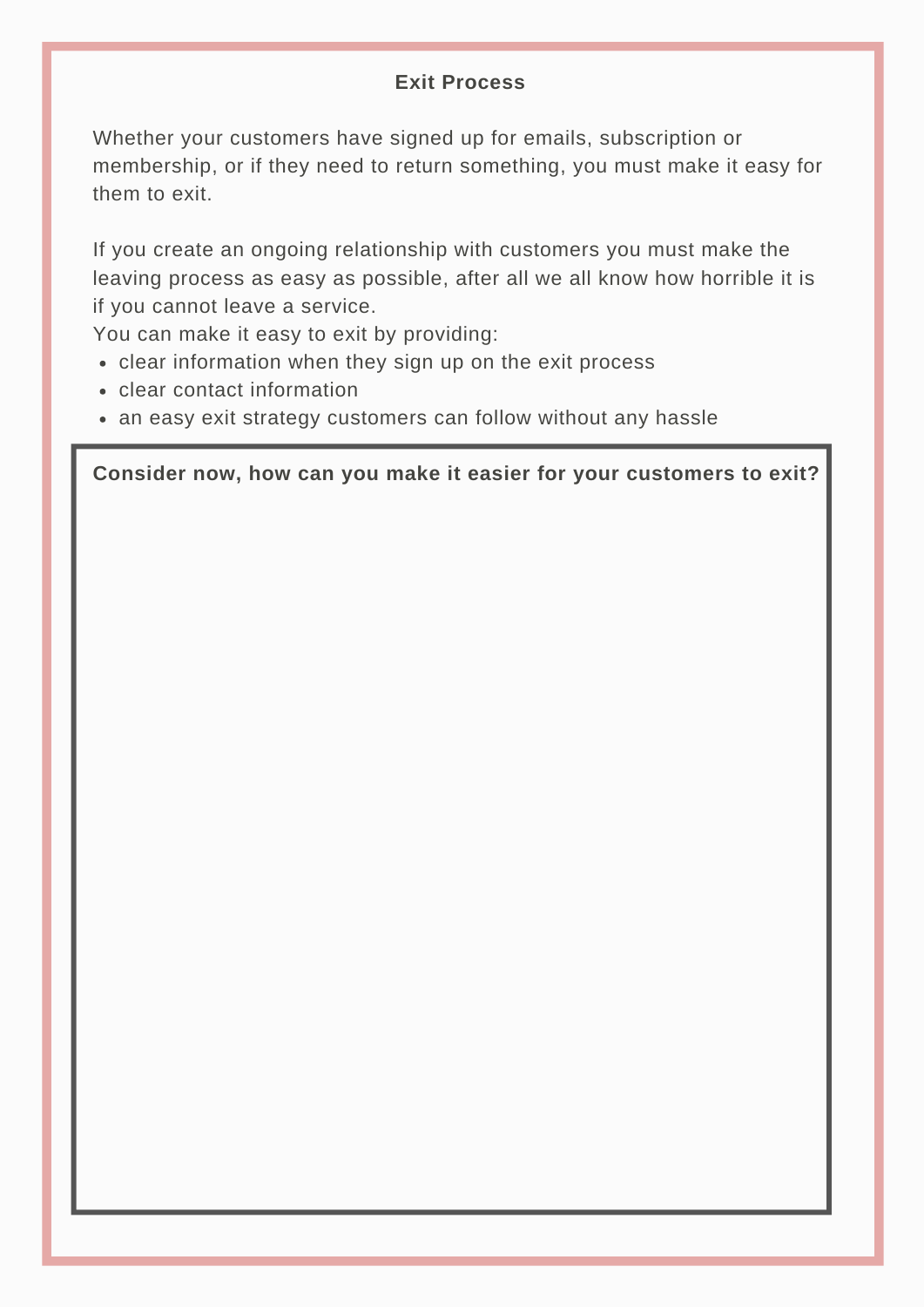#### **Exit Process**

Whether your customers have signed up for emails, subscription or membership, or if they need to return something, you must make it easy for them to exit.

If you create an ongoing relationship with customers you must make the leaving process as easy as possible, after all we all know how horrible it is if you cannot leave a service.

You can make it easy to exit by providing:

- clear information when they sign up on the exit process
- clear contact information
- an easy exit strategy customers can follow without any hassle

**Consider now, how can you make it easier for your customers to exit?**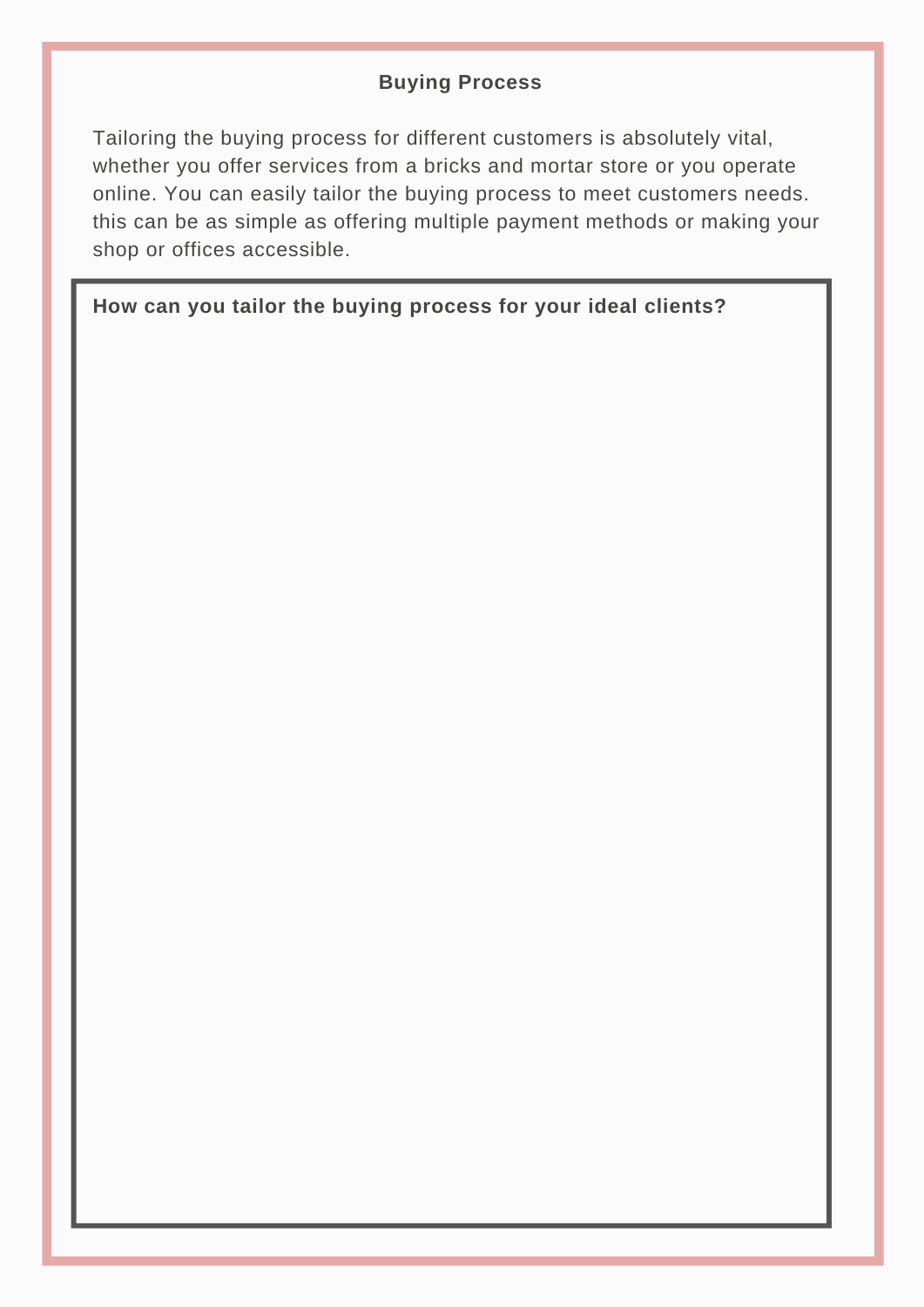#### **Buying Process**

Tailoring the buying process for different customers is absolutely vital, whether you offer services from a bricks and mortar store or you operate online. You can easily tailor the buying process to meet customers needs. this can be as simple as offering multiple payment methods or making your shop or offices accessible.

**How can you tailor the buying process for your ideal clients?**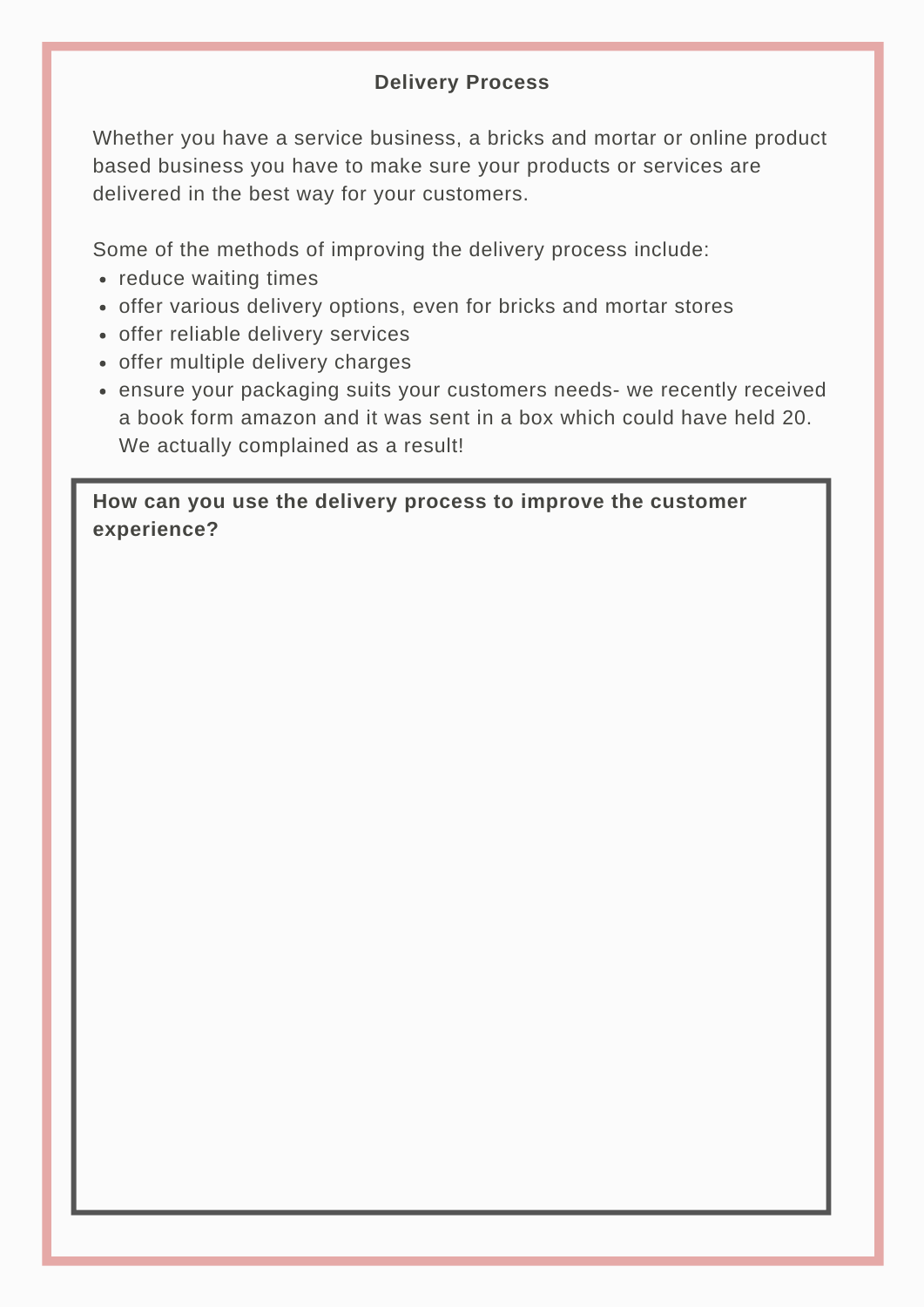#### **Delivery Process**

Whether you have a service business, a bricks and mortar or online product based business you have to make sure your products or services are delivered in the best way for your customers.

Some of the methods of improving the delivery process include:

- reduce waiting times
- offer various delivery options, even for bricks and mortar stores
- offer reliable delivery services
- offer multiple delivery charges
- ensure your packaging suits your customers needs- we recently received a book form amazon and it was sent in a box which could have held 20. We actually complained as a result!

**How can you use the delivery process to improve the customer experience?**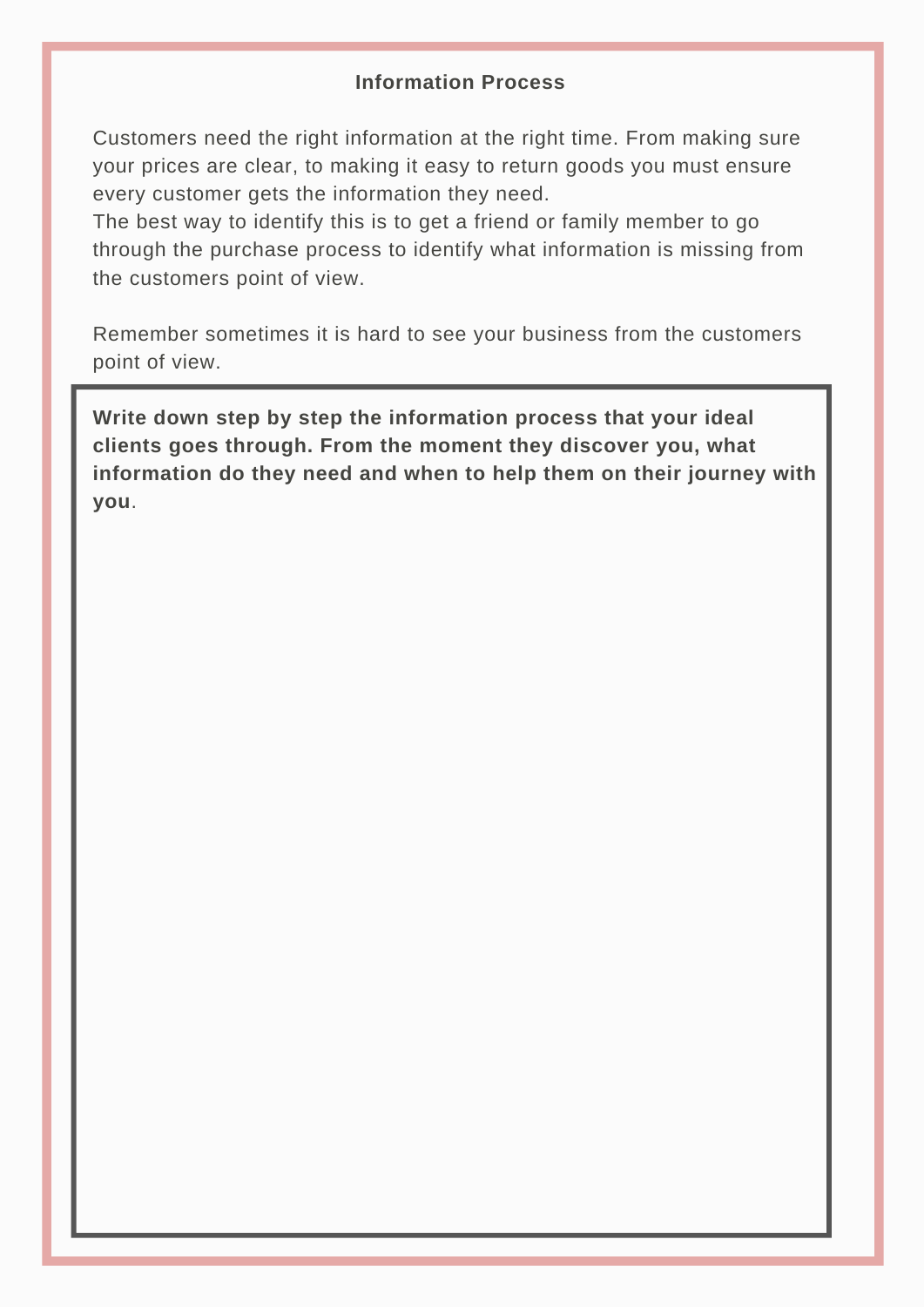#### **Information Process**

Customers need the right information at the right time. From making sure your prices are clear, to making it easy to return goods you must ensure every customer gets the information they need.

The best way to identify this is to get a friend or family member to go through the purchase process to identify what information is missing from the customers point of view.

Remember sometimes it is hard to see your business from the customers point of view.

**Write down step by step the information process that your ideal clients goes through. From the moment they discover you, what information do they need and when to help them on their journey with you**.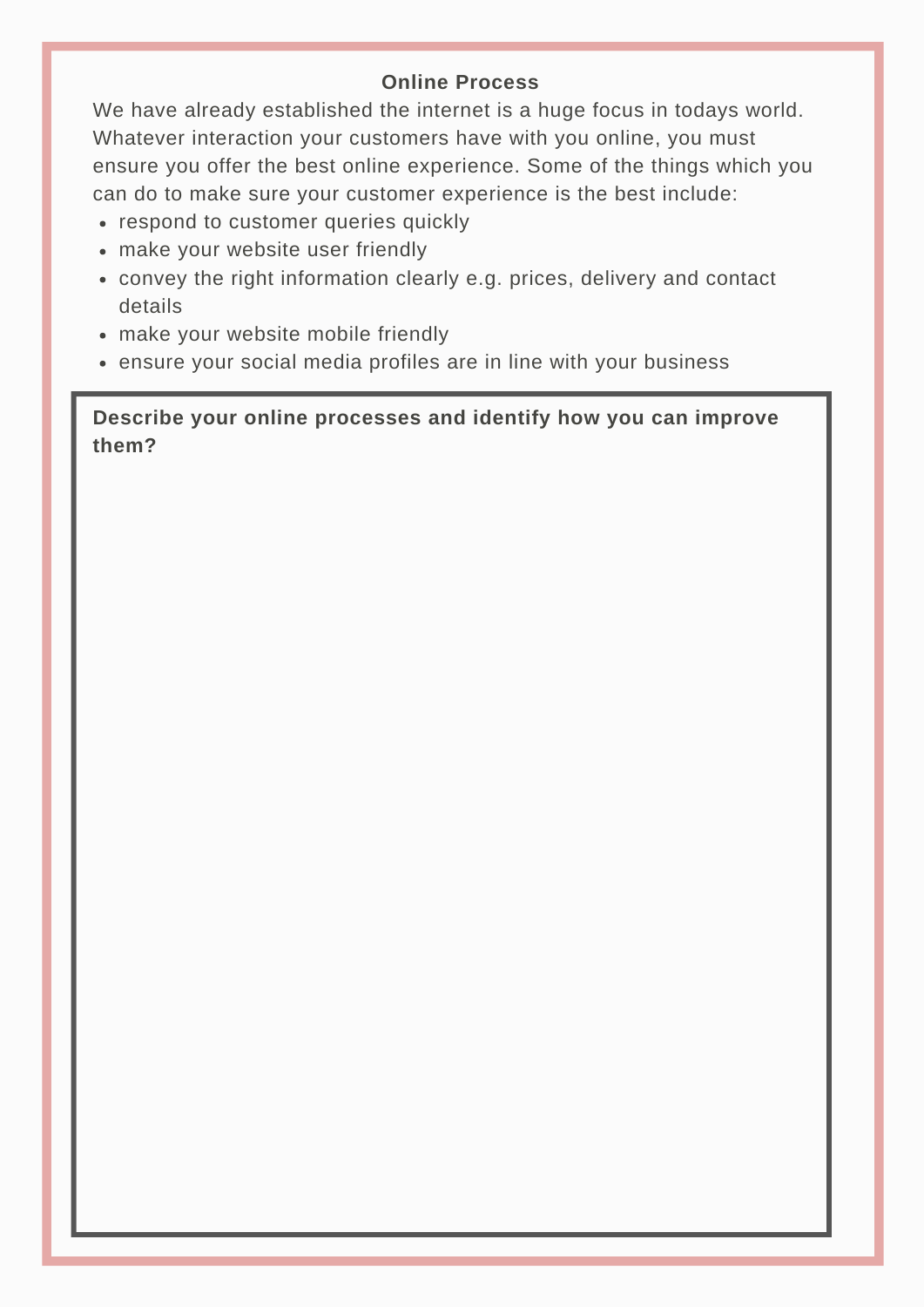#### **Online Process**

We have already established the internet is a huge focus in todays world. Whatever interaction your customers have with you online, you must ensure you offer the best online experience. Some of the things which you can do to make sure your customer experience is the best include:

- respond to customer queries quickly
- make your website user friendly
- convey the right information clearly e.g. prices, delivery and contact details
- make your website mobile friendly
- ensure your social media profiles are in line with your business

**Describe your online processes and identify how you can improve them?**